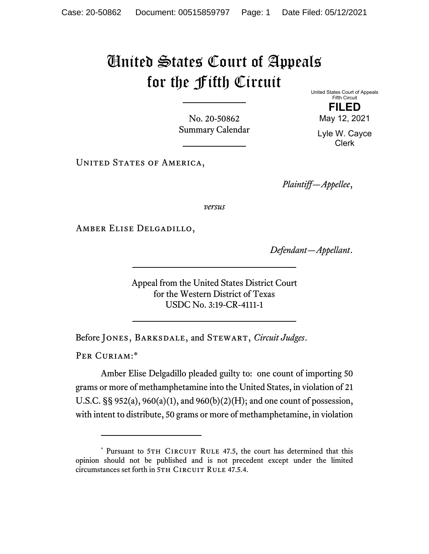## United States Court of Appeals for the Fifth Circuit

No. 20-50862 Summary Calendar United States Court of Appeals Fifth Circuit **FILED** 

May 12, 2021

Lyle W. Cayce Clerk

UNITED STATES OF AMERICA,

*Plaintiff—Appellee*,

*versus*

Amber Elise Delgadillo,

*Defendant—Appellant*.

Appeal from the United States District Court for the Western District of Texas USDC No. 3:19-CR-4111-1

Before Jones, Barksdale, and Stewart, *Circuit Judges*.

PER CURIAM:\*

Amber Elise Delgadillo pleaded guilty to: one count of importing 50 grams or more of methamphetamine into the United States, in violation of 21 U.S.C. §§ 952(a), 960(a)(1), and 960(b)(2)(H); and one count of possession, with intent to distribute, 50 grams or more of methamphetamine, in violation

<sup>\*</sup> Pursuant to 5TH CIRCUIT RULE 47.5, the court has determined that this opinion should not be published and is not precedent except under the limited circumstances set forth in 5TH CIRCUIT RULE 47.5.4.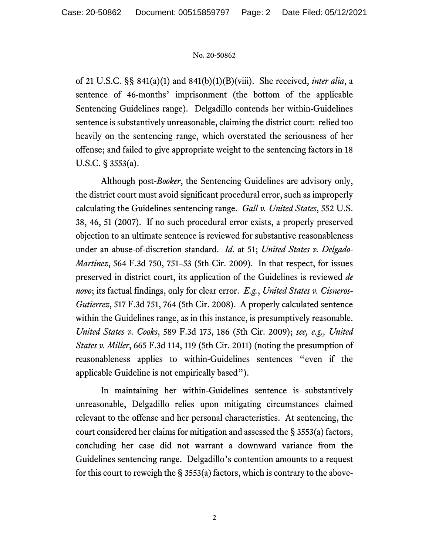## No. 20-50862

of 21 U.S.C. §§ 841(a)(1) and 841(b)(1)(B)(viii). She received, *inter alia*, a sentence of 46-months' imprisonment (the bottom of the applicable Sentencing Guidelines range). Delgadillo contends her within-Guidelines sentence is substantively unreasonable, claiming the district court: relied too heavily on the sentencing range, which overstated the seriousness of her offense; and failed to give appropriate weight to the sentencing factors in 18 U.S.C. § 3553(a).

Although post-*Booker*, the Sentencing Guidelines are advisory only, the district court must avoid significant procedural error, such as improperly calculating the Guidelines sentencing range. *Gall v. United States*, 552 U.S. 38, 46, 51 (2007). If no such procedural error exists, a properly preserved objection to an ultimate sentence is reviewed for substantive reasonableness under an abuse-of-discretion standard. *Id*. at 51; *United States v. Delgado-Martinez*, 564 F.3d 750, 751–53 (5th Cir. 2009). In that respect, for issues preserved in district court, its application of the Guidelines is reviewed *de novo*; its factual findings, only for clear error. *E.g.*, *United States v. Cisneros-Gutierrez*, 517 F.3d 751, 764 (5th Cir. 2008). A properly calculated sentence within the Guidelines range, as in this instance, is presumptively reasonable. *United States v. Cooks*, 589 F.3d 173, 186 (5th Cir. 2009); *see, e.g., United States v. Miller*, 665 F.3d 114, 119 (5th Cir. 2011) (noting the presumption of reasonableness applies to within-Guidelines sentences "even if the applicable Guideline is not empirically based").

In maintaining her within-Guidelines sentence is substantively unreasonable, Delgadillo relies upon mitigating circumstances claimed relevant to the offense and her personal characteristics. At sentencing, the court considered her claims for mitigation and assessed the § 3553(a) factors, concluding her case did not warrant a downward variance from the Guidelines sentencing range. Delgadillo's contention amounts to a request for this court to reweigh the  $\S$  3553(a) factors, which is contrary to the above-